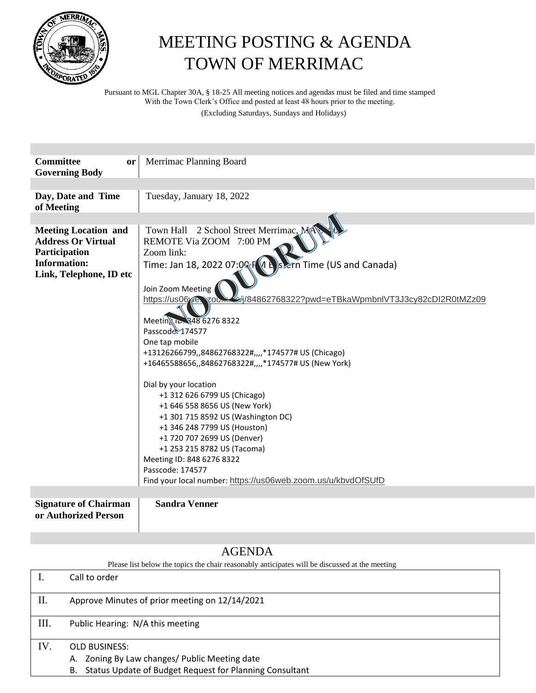

## MEETING POSTING & AGENDA TOWN OF MERRIMAC

Pursuant to MGL Chapter 30A, § 18-25 All meeting notices and agendas must be filed and time stamped With the Town Clerk's Office and posted at least 48 hours prior to the meeting.

(Excluding Saturdays, Sundays and Holidays)

| <b>Committee</b><br>or<br><b>Governing Body</b>                                                                             | Merrimac Planning Board                                                                                                                                                                                                                                                                                                                     |
|-----------------------------------------------------------------------------------------------------------------------------|---------------------------------------------------------------------------------------------------------------------------------------------------------------------------------------------------------------------------------------------------------------------------------------------------------------------------------------------|
|                                                                                                                             |                                                                                                                                                                                                                                                                                                                                             |
| Day, Date and Time<br>of Meeting                                                                                            | Tuesday, January 18, 2022                                                                                                                                                                                                                                                                                                                   |
|                                                                                                                             |                                                                                                                                                                                                                                                                                                                                             |
| <b>Meeting Location and</b><br><b>Address Or Virtual</b><br>Participation<br><b>Information:</b><br>Link, Telephone, ID etc | Town Hall 2 School Street Merrimac, MA<br>REMOTE Via ZOOM 7:00 PM<br>Zoom link:<br>Time: Jan 18, 2022 07:02 $F(A \nvert A)$ s ern Time (US and Canada)<br>Join Zoom Meeting<br>https://us06<br>/84862768322?pwd=eTBkaWpmbnlVT3J3cy82cDl2R0tMZz09<br>$700 -$<br>Meetin 1- 348 6276 8322                                                      |
|                                                                                                                             | Passcode: 174577                                                                                                                                                                                                                                                                                                                            |
|                                                                                                                             | One tap mobile                                                                                                                                                                                                                                                                                                                              |
|                                                                                                                             | +13126266799,,84862768322#,,,,*174577# US (Chicago)                                                                                                                                                                                                                                                                                         |
|                                                                                                                             | +16465588656,,84862768322#,,,,*174577# US (New York)                                                                                                                                                                                                                                                                                        |
|                                                                                                                             | Dial by your location<br>+1 312 626 6799 US (Chicago)<br>+1 646 558 8656 US (New York)<br>+1 301 715 8592 US (Washington DC)<br>+1 346 248 7799 US (Houston)<br>+1 720 707 2699 US (Denver)<br>+1 253 215 8782 US (Tacoma)<br>Meeting ID: 848 6276 8322<br>Passcode: 174577<br>Find your local number: https://us06web.zoom.us/u/kbvdOfSUfD |
|                                                                                                                             |                                                                                                                                                                                                                                                                                                                                             |
| <b>Signature of Chairman</b><br>or Authorized Person                                                                        | <b>Sandra Venner</b>                                                                                                                                                                                                                                                                                                                        |

## AGENDA

Please list below the topics the chair reasonably anticipates will be discussed at the meeting

|     | Call to order                                                                                                                       |
|-----|-------------------------------------------------------------------------------------------------------------------------------------|
| П.  | Approve Minutes of prior meeting on 12/14/2021                                                                                      |
| Ш.  | Public Hearing: N/A this meeting                                                                                                    |
| IV. | <b>OLD BUSINESS:</b><br>A. Zoning By Law changes/ Public Meeting date<br>B. Status Update of Budget Request for Planning Consultant |